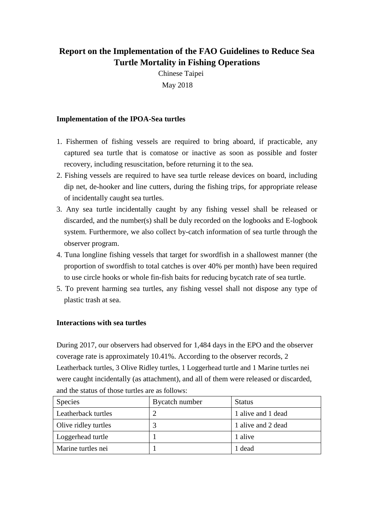## **Report on the Implementation of the FAO Guidelines to Reduce Sea Turtle Mortality in Fishing Operations**

Chinese Taipei May 2018

## **Implementation of the IPOA-Sea turtles**

- 1. Fishermen of fishing vessels are required to bring aboard, if practicable, any captured sea turtle that is comatose or inactive as soon as possible and foster recovery, including resuscitation, before returning it to the sea.
- 2. Fishing vessels are required to have sea turtle release devices on board, including dip net, de-hooker and line cutters, during the fishing trips, for appropriate release of incidentally caught sea turtles.
- 3. Any sea turtle incidentally caught by any fishing vessel shall be released or discarded, and the number(s) shall be duly recorded on the logbooks and E-logbook system. Furthermore, we also collect by-catch information of sea turtle through the observer program.
- 4. Tuna longline fishing vessels that target for swordfish in a shallowest manner (the proportion of swordfish to total catches is over 40% per month) have been required to use circle hooks or whole fin-fish baits for reducing bycatch rate of sea turtle.
- 5. To prevent harming sea turtles, any fishing vessel shall not dispose any type of plastic trash at sea.

## **Interactions with sea turtles**

During 2017, our observers had observed for 1,484 days in the EPO and the observer coverage rate is approximately 10.41%. According to the observer records, 2 Leatherback turtles, 3 Olive Ridley turtles, 1 Loggerhead turtle and 1 Marine turtles nei were caught incidentally (as attachment), and all of them were released or discarded, and the status of those turtles are as follows:

| <b>Species</b>       | Bycatch number | <b>Status</b>      |
|----------------------|----------------|--------------------|
| Leatherback turtles  |                | 1 alive and 1 dead |
| Olive ridley turtles |                | 1 alive and 2 dead |
| Loggerhead turtle    |                | 1 alive            |
| Marine turtles nei   |                | 1 dead             |